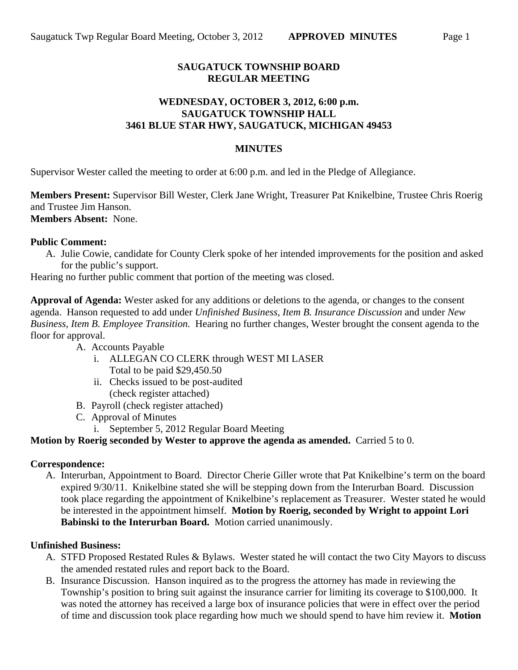# **SAUGATUCK TOWNSHIP BOARD REGULAR MEETING**

## **WEDNESDAY, OCTOBER 3, 2012, 6:00 p.m. SAUGATUCK TOWNSHIP HALL 3461 BLUE STAR HWY, SAUGATUCK, MICHIGAN 49453**

### **MINUTES**

Supervisor Wester called the meeting to order at 6:00 p.m. and led in the Pledge of Allegiance.

**Members Present:** Supervisor Bill Wester, Clerk Jane Wright, Treasurer Pat Knikelbine, Trustee Chris Roerig and Trustee Jim Hanson. **Members Absent:** None.

## **Public Comment:**

A. Julie Cowie, candidate for County Clerk spoke of her intended improvements for the position and asked for the public's support.

Hearing no further public comment that portion of the meeting was closed.

**Approval of Agenda:** Wester asked for any additions or deletions to the agenda, or changes to the consent agenda. Hanson requested to add under *Unfinished Business, Item B. Insurance Discussion* and under *New Business, Item B. Employee Transition.* Hearing no further changes, Wester brought the consent agenda to the floor for approval.

- A. Accounts Payable
	- i. ALLEGAN CO CLERK through WEST MI LASER Total to be paid \$29,450.50
	- ii. Checks issued to be post-audited (check register attached)
- B. Payroll (check register attached)
- C. Approval of Minutes
	- i. September 5, 2012 Regular Board Meeting

### **Motion by Roerig seconded by Wester to approve the agenda as amended.** Carried 5 to 0.

#### **Correspondence:**

A. Interurban, Appointment to Board. Director Cherie Giller wrote that Pat Knikelbine's term on the board expired 9/30/11. Knikelbine stated she will be stepping down from the Interurban Board. Discussion took place regarding the appointment of Knikelbine's replacement as Treasurer. Wester stated he would be interested in the appointment himself. **Motion by Roerig, seconded by Wright to appoint Lori Babinski to the Interurban Board.** Motion carried unanimously.

#### **Unfinished Business:**

- A. STFD Proposed Restated Rules & Bylaws. Wester stated he will contact the two City Mayors to discuss the amended restated rules and report back to the Board.
- B. Insurance Discussion. Hanson inquired as to the progress the attorney has made in reviewing the Township's position to bring suit against the insurance carrier for limiting its coverage to \$100,000. It was noted the attorney has received a large box of insurance policies that were in effect over the period of time and discussion took place regarding how much we should spend to have him review it. **Motion**